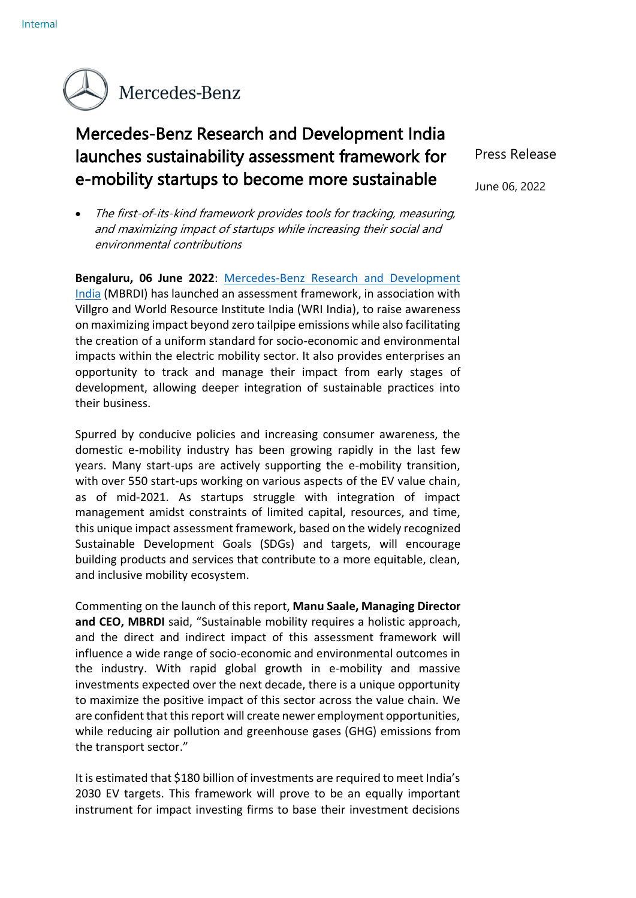

## Mercedes-Benz Research and Development India launches sustainability assessment framework for e-mobility startups to become more sustainable

• The first-of-its-kind framework provides tools for tracking, measuring, and maximizing impact of startups while increasing their social and environmental contributions

**Bengaluru, 06 June 2022**: [Mercedes-Benz Research and Development](https://www.mbrdi.co.in/)  [India](https://www.mbrdi.co.in/) (MBRDI) has launched an assessment framework, in association with Villgro and World Resource Institute India (WRI India), to raise awareness on maximizing impact beyond zero tailpipe emissions while also facilitating the creation of a uniform standard for socio-economic and environmental impacts within the electric mobility sector. It also provides enterprises an opportunity to track and manage their impact from early stages of development, allowing deeper integration of sustainable practices into their business.

Spurred by conducive policies and increasing consumer awareness, the domestic e-mobility industry has been growing rapidly in the last few years. Many start-ups are actively supporting the e-mobility transition, with over 550 start-ups working on various aspects of the EV value chain, as of mid-2021. As startups struggle with integration of impact management amidst constraints of limited capital, resources, and time, this unique impact assessment framework, based on the widely recognized Sustainable Development Goals (SDGs) and targets, will encourage building products and services that contribute to a more equitable, clean, and inclusive mobility ecosystem.

Commenting on the launch of this report, **Manu Saale, Managing Director and CEO, MBRDI** said, "Sustainable mobility requires a holistic approach, and the direct and indirect impact of this assessment framework will influence a wide range of socio-economic and environmental outcomes in the industry. With rapid global growth in e-mobility and massive investments expected over the next decade, there is a unique opportunity to maximize the positive impact of this sector across the value chain. We are confident that this report will create newer employment opportunities, while reducing air pollution and greenhouse gases (GHG) emissions from the transport sector."

It is estimated that \$180 billion of investments are required to meet India's 2030 EV targets. This framework will prove to be an equally important instrument for impact investing firms to base their investment decisions Press Release

June 06, 2022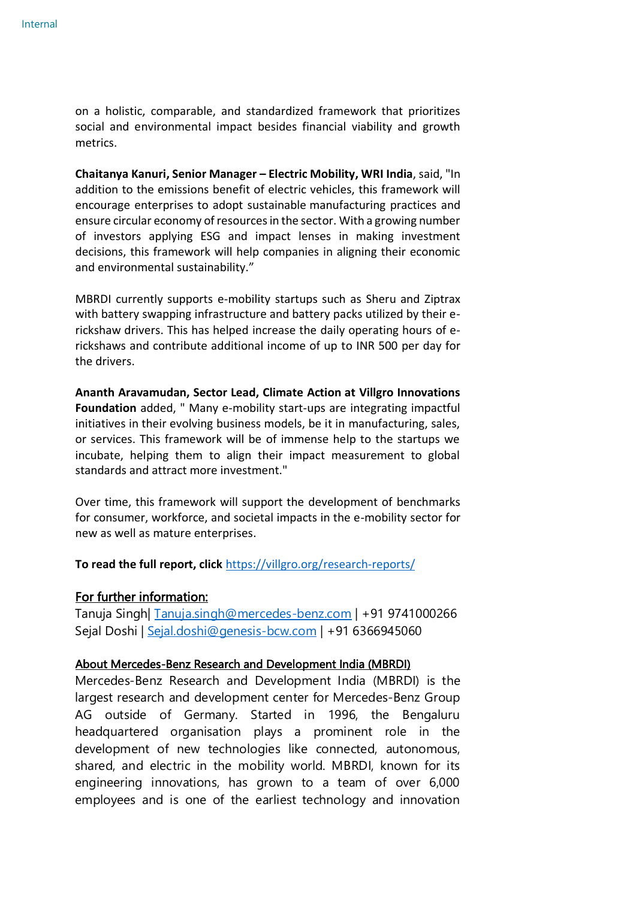on a holistic, comparable, and standardized framework that prioritizes social and environmental impact besides financial viability and growth metrics.

**Chaitanya Kanuri, Senior Manager – Electric Mobility, WRI India**, said, "In addition to the emissions benefit of electric vehicles, this framework will encourage enterprises to adopt sustainable manufacturing practices and ensure circular economy of resources in the sector. With a growing number of investors applying ESG and impact lenses in making investment decisions, this framework will help companies in aligning their economic and environmental sustainability."

MBRDI currently supports e-mobility startups such as Sheru and Ziptrax with battery swapping infrastructure and battery packs utilized by their erickshaw drivers. This has helped increase the daily operating hours of erickshaws and contribute additional income of up to INR 500 per day for the drivers.

**Ananth Aravamudan, Sector Lead, Climate Action at Villgro Innovations Foundation** added, " Many e-mobility start-ups are integrating impactful initiatives in their evolving business models, be it in manufacturing, sales, or services. This framework will be of immense help to the startups we incubate, helping them to align their impact measurement to global standards and attract more investment."

Over time, this framework will support the development of benchmarks for consumer, workforce, and societal impacts in the e-mobility sector for new as well as mature enterprises.

**To read the full report, click** <https://villgro.org/research-reports/>

## For further information:

Tanuja Singh| [Tanuja.singh@mercedes-benz.com](mailto:Tanuja.singh@mercedes-benz.com) | +91 9741000266 Sejal Doshi | [Sejal.doshi@genesis-bcw.com](mailto:Sejal.doshi@genesis-bcw.com) | +91 6366945060

## About Mercedes-Benz Research and Development India (MBRDI)

Mercedes-Benz Research and Development India (MBRDI) is the largest research and development center for Mercedes-Benz Group AG outside of Germany. Started in 1996, the Bengaluru headquartered organisation plays a prominent role in the development of new technologies like connected, autonomous, shared, and electric in the mobility world. MBRDI, known for its engineering innovations, has grown to a team of over 6,000 employees and is one of the earliest technology and innovation